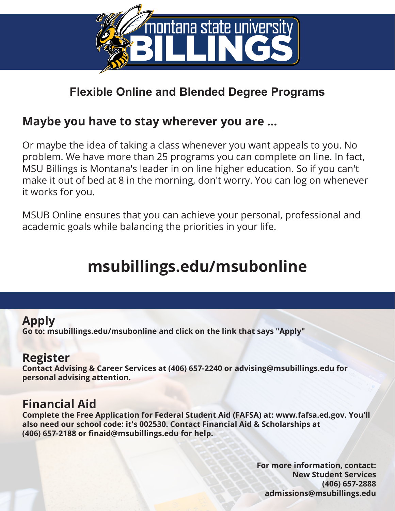

## **Flexible Online and Blended Degree Programs**

### **Maybe you have to stay wherever you are ...**

Or maybe the idea of taking a class whenever you want appeals to you. No problem. We have more than 25 programs you can complete on line. In fact, MSU Billings is Montana's leader in on line higher education. So if you can't make it out of bed at 8 in the morning, don't worry. You can log on whenever it works for you.

MSUB Online ensures that you can achieve your personal, professional and academic goals while balancing the priorities in your life.

# **msubillings.edu/msubonline**

### **Apply**

**Go to: msubillings.edu/msubonline and click on the link that says "Apply"**

### **Register**

**Contact Advising & Career Services at (406) 657-2240 or advising@msubillings.edu for personal advising attention.**

### **Financial Aid**

**Complete the Free Application for Federal Student Aid (FAFSA) at: www.fafsa.ed.gov. You'll also need our school code: it's 002530. Contact Financial Aid & Scholarships at (406) 657-2188 or finaid@msubillings.edu for help.**

> **For more information, contact: New Student Services (406) 657-2888 admissions@msubillings.edu**